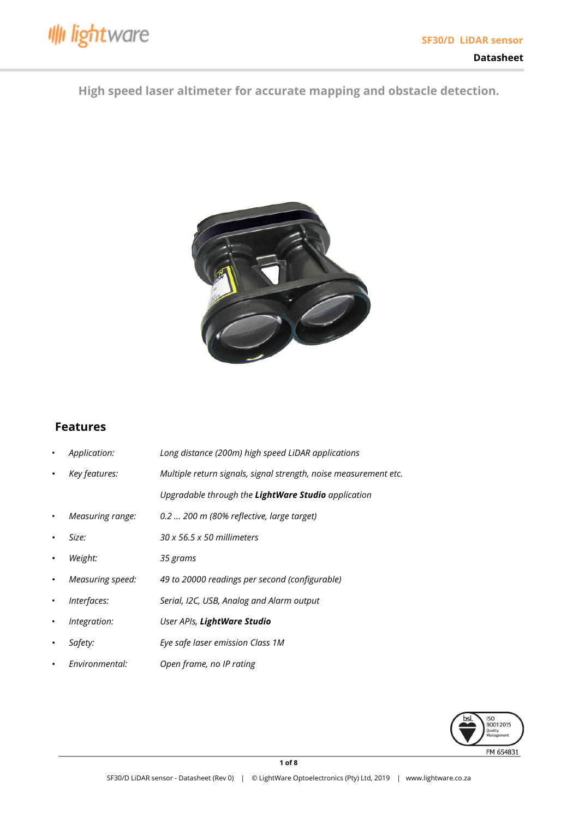

# **High speed laser altimeter for accurate mapping and obstacle detection.**



## **Features**

| ٠         | Application:     | Long distance (200m) high speed LiDAR applications               |
|-----------|------------------|------------------------------------------------------------------|
| $\bullet$ | Key features:    | Multiple return signals, signal strength, noise measurement etc. |
|           |                  | Upgradable through the LightWare Studio application              |
| ٠         | Measuring range: | 0.2  200 m (80% reflective, large target)                        |
| $\bullet$ | Size:            | $30 \times 56.5 \times 50$ millimeters                           |
| $\bullet$ | Weight:          | 35 grams                                                         |
| $\bullet$ | Measuring speed: | 49 to 20000 readings per second (configurable)                   |
| ٠         | Interfaces:      | Serial, I2C, USB, Analog and Alarm output                        |
| ٠         | Integration:     | User APIs, LightWare Studio                                      |
| $\bullet$ | Safety:          | Eye safe laser emission Class 1M                                 |
| $\bullet$ | Environmental:   | Open frame, no IP rating                                         |

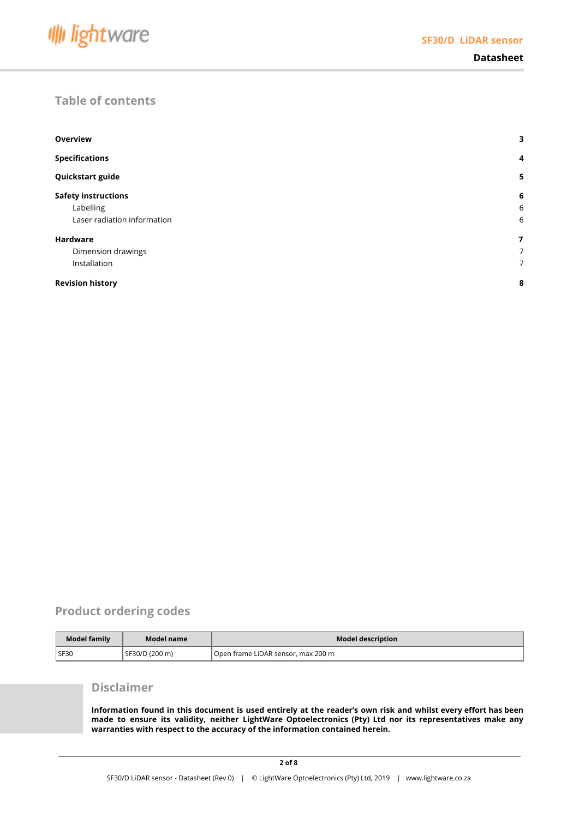

## **Table of contents**

| <b>Overview</b>             | 3              |
|-----------------------------|----------------|
| <b>Specifications</b>       | $\overline{4}$ |
| Quickstart guide            | 5              |
| <b>Safety instructions</b>  | 6              |
| Labelling                   | 6              |
| Laser radiation information | 6              |
| <b>Hardware</b>             | 7              |
| Dimension drawings          | 7              |
| Installation                | 7              |
| <b>Revision history</b>     |                |

## **Product ordering codes**

| Model family | Model name     | <b>Model description</b>           |
|--------------|----------------|------------------------------------|
| SF30         | SF30/D (200 m) | Open frame LiDAR sensor, max 200 m |

## **Disclaimer**

Information found in this document is used entirely at the reader's own risk and whilst every effort has been **made to ensure its validity, neither LightWare Optoelectronics (Pty) Ltd nor its representatives make any warranties with respect to the accuracy of the information contained herein.**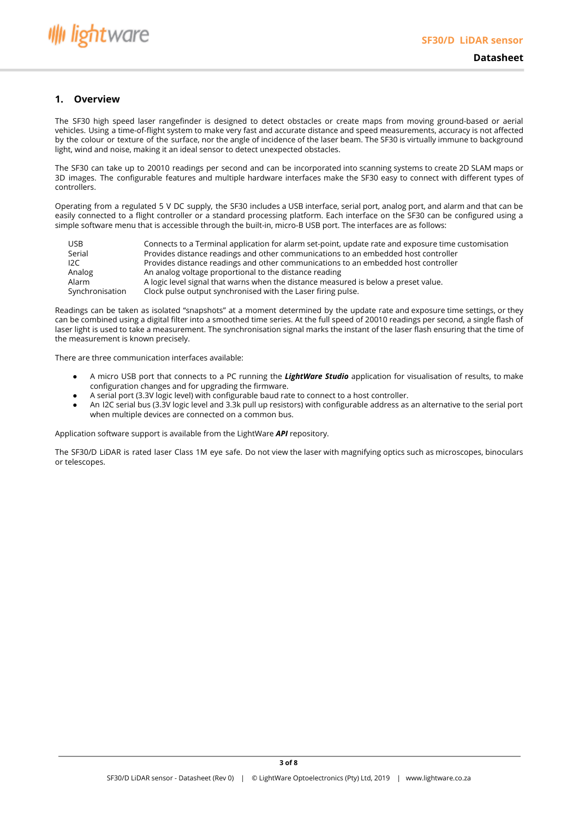#### <span id="page-2-0"></span>**1. Overview**

The SF30 high speed laser rangefinder is designed to detect obstacles or create maps from moving ground-based or aerial vehicles. Using a time-of-flight system to make very fast and accurate distance and speed measurements, accuracy is not affected by the colour or texture of the surface, nor the angle of incidence of the laser beam. The SF30 is virtually immune to background light, wind and noise, making it an ideal sensor to detect unexpected obstacles.

The SF30 can take up to 20010 readings per second and can be incorporated into scanning systems to create 2D SLAM maps or 3D images. The configurable features and multiple hardware interfaces make the SF30 easy to connect with different types of controllers.

Operating from a regulated 5 V DC supply, the SF30 includes a USB interface, serial port, analog port, and alarm and that can be easily connected to a flight controller or a standard processing platform. Each interface on the SF30 can be configured using a simple software menu that is accessible through the built-in, micro-B USB port. The interfaces are as follows:

| <b>USB</b>      | Connects to a Terminal application for alarm set-point, update rate and exposure time customisation |
|-----------------|-----------------------------------------------------------------------------------------------------|
| Serial          | Provides distance readings and other communications to an embedded host controller                  |
| 12C             | Provides distance readings and other communications to an embedded host controller                  |
| Analog          | An analog voltage proportional to the distance reading                                              |
| Alarm           | A logic level signal that warns when the distance measured is below a preset value.                 |
| Synchronisation | Clock pulse output synchronised with the Laser firing pulse.                                        |

Readings can be taken as isolated "snapshots" at a moment determined by the update rate and exposure time settings, or they can be combined using a digital filter into a smoothed time series. At the full speed of 20010 readings per second, a single flash of laser light is used to take a measurement. The synchronisation signal marks the instant of the laser flash ensuring that the time of the measurement is known precisely.

There are three communication interfaces available:

- A micro USB port that connects to a PC running the *LightWare Studio* application for visualisation of results, to make configuration changes and for upgrading the firmware.
- A serial port (3.3V logic level) with configurable baud rate to connect to a host controller.
- An I2C serial bus (3.3V logic level and 3.3k pull up resistors) with configurable address as an alternative to the serial port when multiple devices are connected on a common bus.

Application software support is available from the LightWare *API* repository.

The SF30/D LiDAR is rated laser Class 1M eye safe. Do not view the laser with magnifying optics such as microscopes, binoculars or telescopes.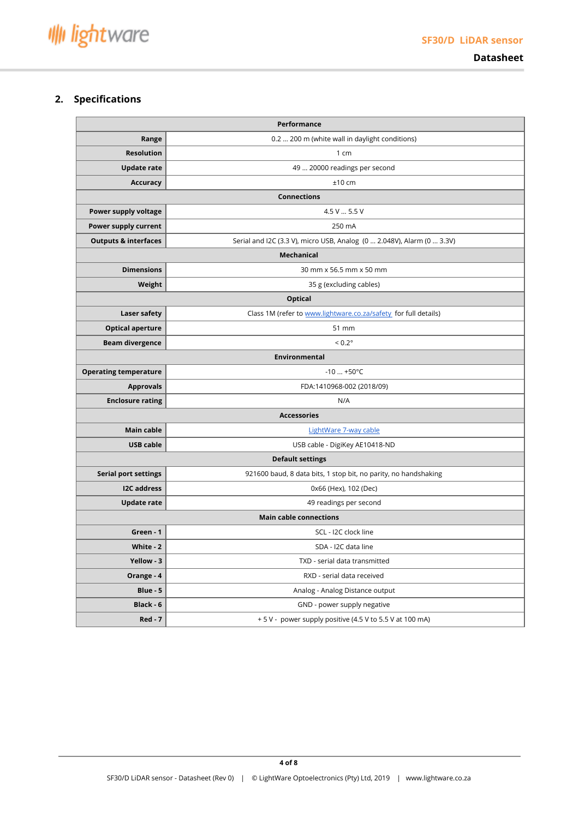

**Datasheet**

## <span id="page-3-0"></span>**2. Specifications**

| Performance                     |                                                                        |  |
|---------------------------------|------------------------------------------------------------------------|--|
| Range                           | 0.2  200 m (white wall in daylight conditions)                         |  |
| <b>Resolution</b>               | 1 cm                                                                   |  |
| <b>Update rate</b>              | 49  20000 readings per second                                          |  |
| <b>Accuracy</b>                 | $±10$ cm                                                               |  |
|                                 | <b>Connections</b>                                                     |  |
| Power supply voltage            | 4.5 V  5.5 V                                                           |  |
| Power supply current            | 250 mA                                                                 |  |
| <b>Outputs &amp; interfaces</b> | Serial and I2C (3.3 V), micro USB, Analog (0  2.048V), Alarm (0  3.3V) |  |
|                                 | <b>Mechanical</b>                                                      |  |
| <b>Dimensions</b>               | 30 mm x 56.5 mm x 50 mm                                                |  |
| Weight                          | 35 g (excluding cables)                                                |  |
|                                 | <b>Optical</b>                                                         |  |
| Laser safety                    | Class 1M (refer to www.lightware.co.za/safety for full details)        |  |
| <b>Optical aperture</b>         | 51 mm                                                                  |  |
| <b>Beam divergence</b>          | $< 0.2^\circ$                                                          |  |
|                                 | <b>Environmental</b>                                                   |  |
| <b>Operating temperature</b>    | $-10$ $+50^{\circ}$ C                                                  |  |
| <b>Approvals</b>                | FDA:1410968-002 (2018/09)                                              |  |
| <b>Enclosure rating</b>         | N/A                                                                    |  |
|                                 | <b>Accessories</b>                                                     |  |
| Main cable                      | LightWare 7-way cable                                                  |  |
| <b>USB cable</b>                | USB cable - DigiKey AE10418-ND                                         |  |
|                                 | <b>Default settings</b>                                                |  |
| <b>Serial port settings</b>     | 921600 baud, 8 data bits, 1 stop bit, no parity, no handshaking        |  |
| <b>I2C</b> address              | 0x66 (Hex), 102 (Dec)                                                  |  |
| <b>Update rate</b>              | 49 readings per second                                                 |  |
|                                 | <b>Main cable connections</b>                                          |  |
| Green - 1                       | SCL - I2C clock line                                                   |  |
| White - 2                       | SDA - I2C data line                                                    |  |
| Yellow - 3                      | TXD - serial data transmitted                                          |  |
| Orange - 4                      | RXD - serial data received                                             |  |
| Blue - 5                        | Analog - Analog Distance output                                        |  |
| Black - 6                       | GND - power supply negative                                            |  |
| $Red - 7$                       | + 5 V - power supply positive (4.5 V to 5.5 V at 100 mA)               |  |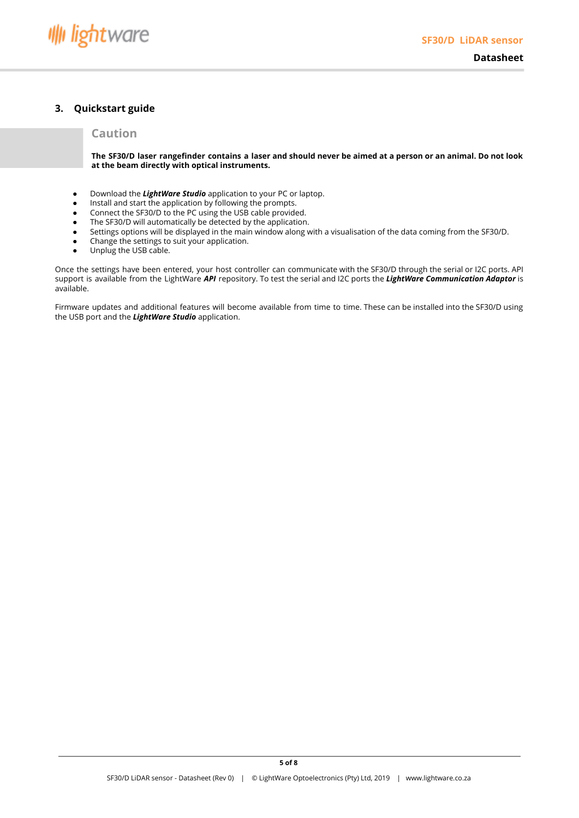

## <span id="page-4-0"></span>**3. Quickstart guide**

### **Caution**

The SF30/D laser rangefinder contains a laser and should never be aimed at a person or an animal. Do not look **at the beam directly with optical instruments.**

- Download the *LightWare Studio* application to your PC or laptop.
- Install and start the application by following the prompts.
- Connect the SF30/D to the PC using the USB cable provided.
- The SF30/D will automatically be detected by the application.
- Settings options will be displayed in the main window along with a visualisation of the data coming from the SF30/D.
- Change the settings to suit your application.
- Unplug the USB cable.

Once the settings have been entered, your host controller can communicate with the SF30/D through the serial or I2C ports. API support is available from the LightWare *API* repository. To test the serial and I2C ports the *LightWare Communication Adaptor* is available.

Firmware updates and additional features will become available from time to time. These can be installed into the SF30/D using the USB port and the *LightWare Studio* application.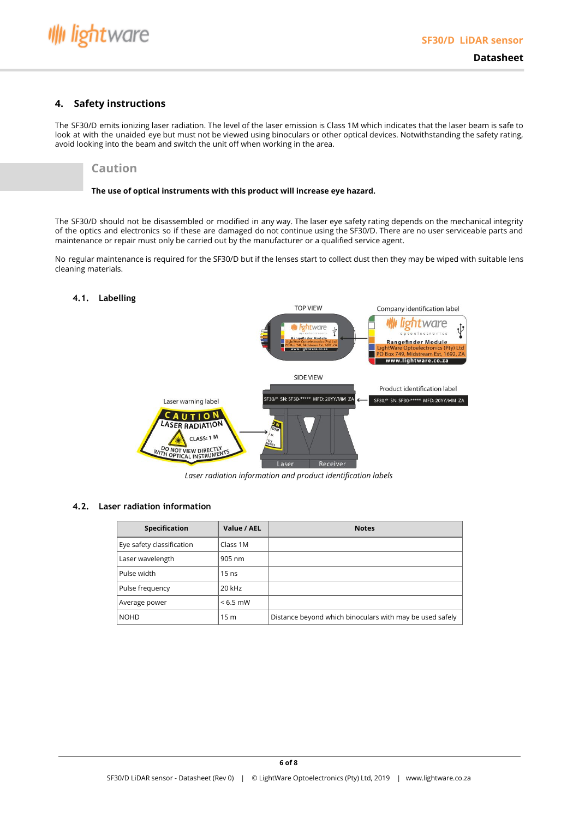

#### <span id="page-5-0"></span>**4. Safety instructions**

The SF30/D emits ionizing laser radiation. The level of the laser emission is Class 1M which indicates that the laser beam is safe to look at with the unaided eye but must not be viewed using binoculars or other optical devices. Notwithstanding the safety rating, avoid looking into the beam and switch the unit off when working in the area.

### **Caution**

#### **The use of optical instruments with this product will increase eye hazard.**

The SF30/D should not be disassembled or modified in any way. The laser eye safety rating depends on the mechanical integrity of the optics and electronics so if these are damaged do not continue using the SF30/D. There are no user serviceable parts and maintenance or repair must only be carried out by the manufacturer or a qualified service agent.

No regular maintenance is required for the SF30/D but if the lenses start to collect dust then they may be wiped with suitable lens cleaning materials.

#### <span id="page-5-1"></span>**4.1. Labelling**



*Laser radiation information and product identification labels*

#### <span id="page-5-2"></span>**4.2. Laser radiation information**

| Specification             | Value / AEL     | <b>Notes</b>                                             |
|---------------------------|-----------------|----------------------------------------------------------|
| Eye safety classification | Class 1M        |                                                          |
| Laser wavelength          | 905 nm          |                                                          |
| l Pulse width             | $15$ ns         |                                                          |
| Pulse frequency           | 20 kHz          |                                                          |
| Average power             | $< 6.5$ mW      |                                                          |
| I NOHD                    | 15 <sub>m</sub> | Distance beyond which binoculars with may be used safely |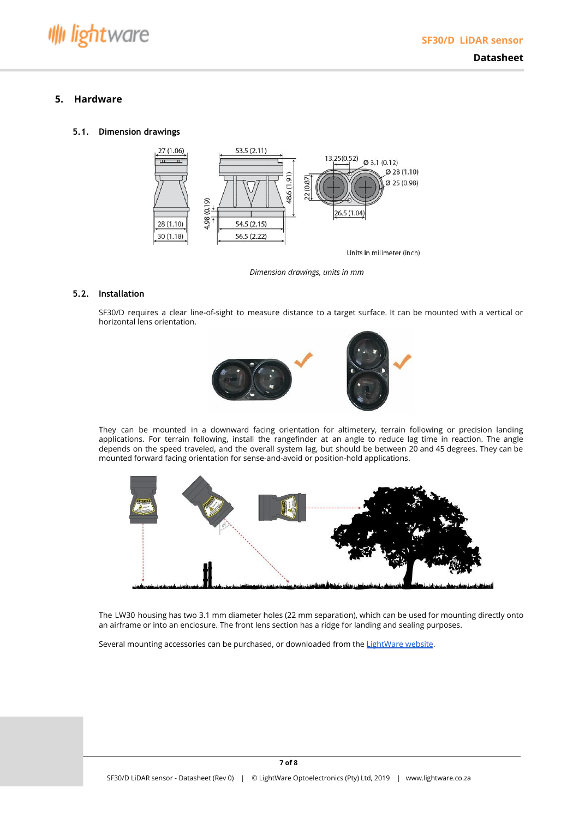**Datasheet**

### <span id="page-6-0"></span>**5. Hardware**

#### <span id="page-6-1"></span>**5.1. Dimension drawings**



*Dimension drawings, units in mm*

#### <span id="page-6-2"></span>**5.2. Installation**

SF30/D requires a clear line-of-sight to measure distance to a target surface. It can be mounted with a vertical or horizontal lens orientation.





They can be mounted in a downward facing orientation for altimetery, terrain following or precision landing applications. For terrain following, install the rangefinder at an angle to reduce lag time in reaction. The angle depends on the speed traveled, and the overall system lag, but should be between 20 and 45 degrees. They can be mounted forward facing orientation for sense-and-avoid or position-hold applications.



The LW30 housing has two 3.1 mm diameter holes (22 mm separation), which can be used for mounting directly onto an airframe or into an enclosure. The front lens section has a ridge for landing and sealing purposes.

Several mounting accessories can be purchased, or downloaded from the [LightWare](http://www.lightware.co.za/) website.